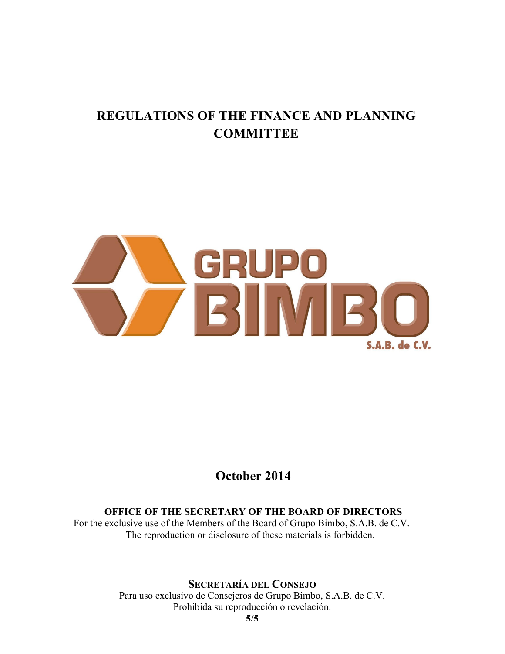# **REGULATIONS OF THE FINANCE AND PLANNING COMMITTEE**



## **October 2014**

#### **OFFICE OF THE SECRETARY OF THE BOARD OF DIRECTORS**

For the exclusive use of the Members of the Board of Grupo Bimbo, S.A.B. de C.V. The reproduction or disclosure of these materials is forbidden.

### **SECRETARÍA DEL CONSEJO**

Para uso exclusivo de Consejeros de Grupo Bimbo, S.A.B. de C.V. Prohibida su reproducción o revelación.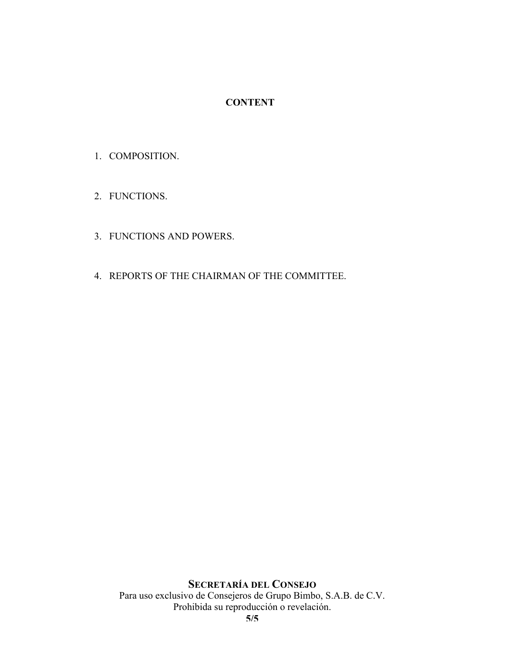#### **CONTENT**

- 1. COMPOSITION.
- 2. FUNCTIONS.
- 3. FUNCTIONS AND POWERS.
- 4. REPORTS OF THE CHAIRMAN OF THE COMMITTEE.

#### **SECRETARÍA DEL CONSEJO** Para uso exclusivo de Consejeros de Grupo Bimbo, S.A.B. de C.V. Prohibida su reproducción o revelación.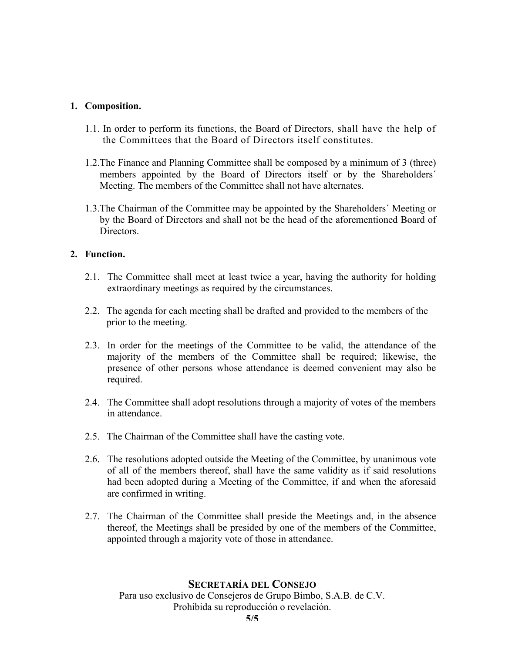#### **1. Composition.**

- 1.1. In order to perform its functions, the Board of Directors, shall have the help of the Committees that the Board of Directors itself constitutes.
- 1.2.The Finance and Planning Committee shall be composed by a minimum of 3 (three) members appointed by the Board of Directors itself or by the Shareholders´ Meeting. The members of the Committee shall not have alternates.
- 1.3.The Chairman of the Committee may be appointed by the Shareholders´ Meeting or by the Board of Directors and shall not be the head of the aforementioned Board of Directors.

#### **2. Function.**

- 2.1. The Committee shall meet at least twice a year, having the authority for holding extraordinary meetings as required by the circumstances.
- 2.2. The agenda for each meeting shall be drafted and provided to the members of the prior to the meeting.
- 2.3. In order for the meetings of the Committee to be valid, the attendance of the majority of the members of the Committee shall be required; likewise, the presence of other persons whose attendance is deemed convenient may also be required.
- 2.4. The Committee shall adopt resolutions through a majority of votes of the members in attendance.
- 2.5. The Chairman of the Committee shall have the casting vote.
- 2.6. The resolutions adopted outside the Meeting of the Committee, by unanimous vote of all of the members thereof, shall have the same validity as if said resolutions had been adopted during a Meeting of the Committee, if and when the aforesaid are confirmed in writing.
- 2.7. The Chairman of the Committee shall preside the Meetings and, in the absence thereof, the Meetings shall be presided by one of the members of the Committee, appointed through a majority vote of those in attendance.

#### **SECRETARÍA DEL CONSEJO**

Para uso exclusivo de Consejeros de Grupo Bimbo, S.A.B. de C.V. Prohibida su reproducción o revelación.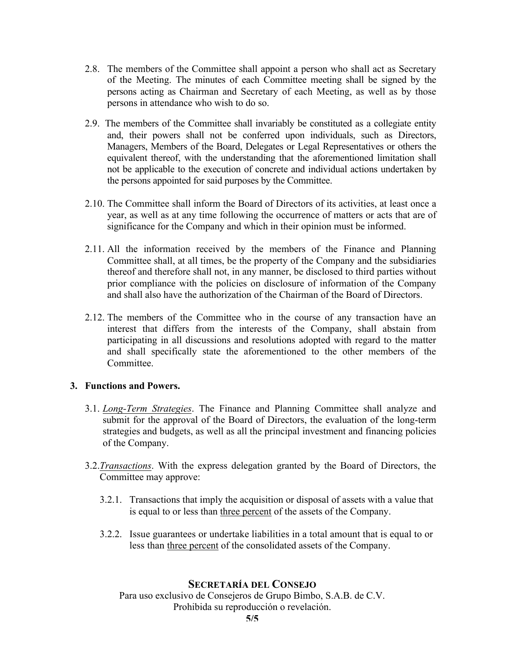- 2.8. The members of the Committee shall appoint a person who shall act as Secretary of the Meeting. The minutes of each Committee meeting shall be signed by the persons acting as Chairman and Secretary of each Meeting, as well as by those persons in attendance who wish to do so.
- 2.9. The members of the Committee shall invariably be constituted as a collegiate entity and, their powers shall not be conferred upon individuals, such as Directors, Managers, Members of the Board, Delegates or Legal Representatives or others the equivalent thereof, with the understanding that the aforementioned limitation shall not be applicable to the execution of concrete and individual actions undertaken by the persons appointed for said purposes by the Committee.
- 2.10. The Committee shall inform the Board of Directors of its activities, at least once a year, as well as at any time following the occurrence of matters or acts that are of significance for the Company and which in their opinion must be informed.
- 2.11. All the information received by the members of the Finance and Planning Committee shall, at all times, be the property of the Company and the subsidiaries thereof and therefore shall not, in any manner, be disclosed to third parties without prior compliance with the policies on disclosure of information of the Company and shall also have the authorization of the Chairman of the Board of Directors.
- 2.12. The members of the Committee who in the course of any transaction have an interest that differs from the interests of the Company, shall abstain from participating in all discussions and resolutions adopted with regard to the matter and shall specifically state the aforementioned to the other members of the **Committee**

#### **3. Functions and Powers.**

- 3.1. *Long-Term Strategies*. The Finance and Planning Committee shall analyze and submit for the approval of the Board of Directors, the evaluation of the long-term strategies and budgets, as well as all the principal investment and financing policies of the Company.
- 3.2.*Transactions*. With the express delegation granted by the Board of Directors, the Committee may approve:
	- 3.2.1. Transactions that imply the acquisition or disposal of assets with a value that is equal to or less than three percent of the assets of the Company.
	- 3.2.2. Issue guarantees or undertake liabilities in a total amount that is equal to or less than three percent of the consolidated assets of the Company.

#### **SECRETARÍA DEL CONSEJO**

Para uso exclusivo de Consejeros de Grupo Bimbo, S.A.B. de C.V. Prohibida su reproducción o revelación.